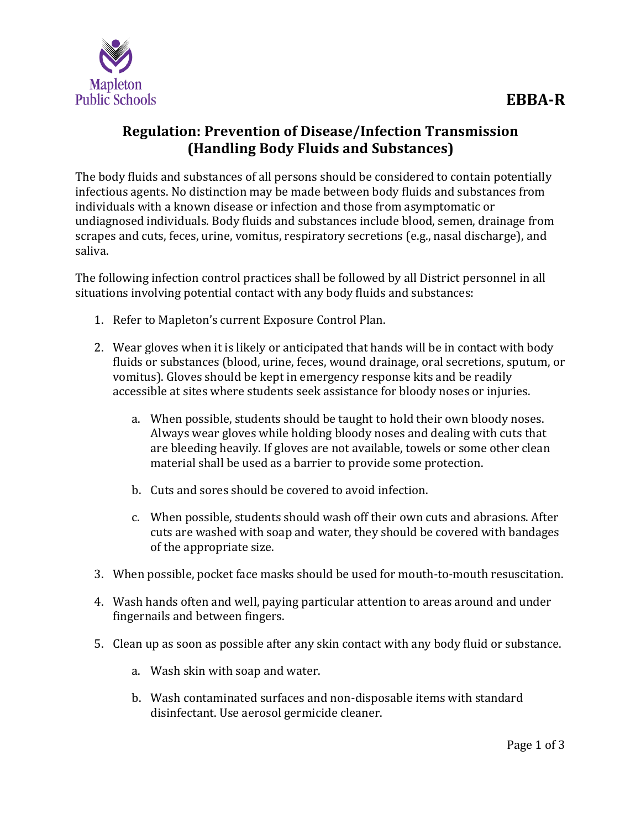

## **Regulation: Prevention of Disease/Infection Transmission (Handling Body Fluids and Substances)**

The body fluids and substances of all persons should be considered to contain potentially infectious agents. No distinction may be made between body fluids and substances from individuals with a known disease or infection and those from asymptomatic or undiagnosed individuals. Body fluids and substances include blood, semen, drainage from scrapes and cuts, feces, urine, vomitus, respiratory secretions (e.g., nasal discharge), and saliva.

The following infection control practices shall be followed by all District personnel in all situations involving potential contact with any body fluids and substances:

- 1. Refer to Mapleton's current Exposure Control Plan.
- 2. Wear gloves when it is likely or anticipated that hands will be in contact with body fluids or substances (blood, urine, feces, wound drainage, oral secretions, sputum, or vomitus). Gloves should be kept in emergency response kits and be readily accessible at sites where students seek assistance for bloody noses or injuries.
	- a. When possible, students should be taught to hold their own bloody noses. Always wear gloves while holding bloody noses and dealing with cuts that are bleeding heavily. If gloves are not available, towels or some other clean material shall be used as a barrier to provide some protection.
	- b. Cuts and sores should be covered to avoid infection.
	- c. When possible, students should wash off their own cuts and abrasions. After cuts are washed with soap and water, they should be covered with bandages of the appropriate size.
- 3. When possible, pocket face masks should be used for mouth-to-mouth resuscitation.
- 4. Wash hands often and well, paying particular attention to areas around and under fingernails and between fingers.
- 5. Clean up as soon as possible after any skin contact with any body fluid or substance.
	- a. Wash skin with soap and water.
	- b. Wash contaminated surfaces and non-disposable items with standard disinfectant. Use aerosol germicide cleaner.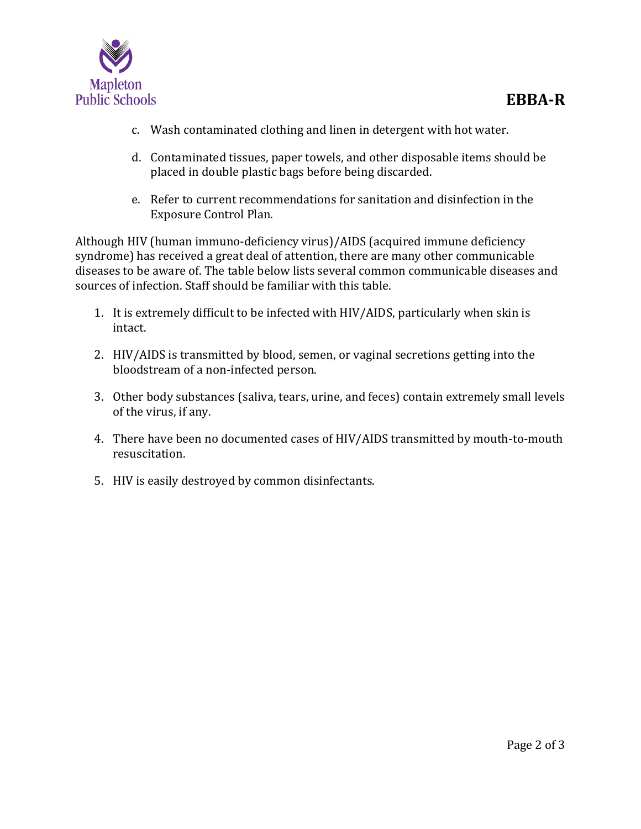

- c. Wash contaminated clothing and linen in detergent with hot water.
- d. Contaminated tissues, paper towels, and other disposable items should be placed in double plastic bags before being discarded.
- e. Refer to current recommendations for sanitation and disinfection in the Exposure Control Plan.

Although HIV (human immuno-deficiency virus)/AIDS (acquired immune deficiency syndrome) has received a great deal of attention, there are many other communicable diseases to be aware of. The table below lists several common communicable diseases and sources of infection. Staff should be familiar with this table.

- 1. It is extremely difficult to be infected with HIV/AIDS, particularly when skin is intact.
- 2. HIV/AIDS is transmitted by blood, semen, or vaginal secretions getting into the bloodstream of a non-infected person.
- 3. Other body substances (saliva, tears, urine, and feces) contain extremely small levels of the virus, if any.
- 4. There have been no documented cases of HIV/AIDS transmitted by mouth-to-mouth resuscitation.
- 5. HIV is easily destroyed by common disinfectants.